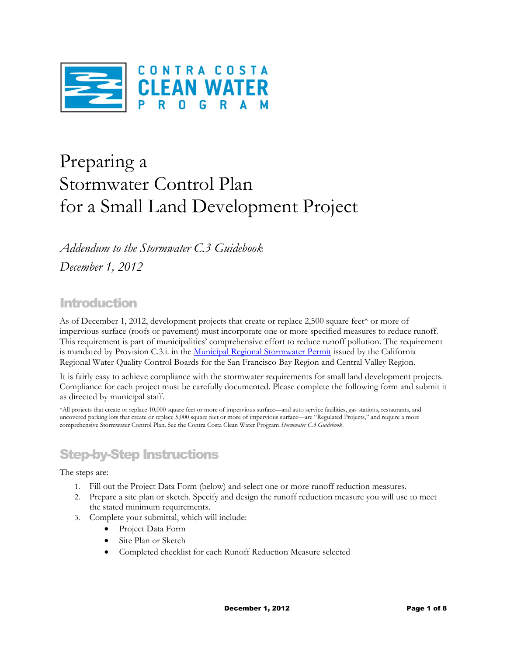

# Preparing a Stormwater Control Plan for a Small Land Development Project

*Addendum to the Stormwater C.3 Guidebook December 1, 2012* 

### Introduction

As of December 1, 2012, development projects that create or replace 2,500 square feet\* or more of impervious surface (roofs or pavement) must incorporate one or more specified measures to reduce runoff. This requirement is part of municipalities' comprehensive effort to reduce runoff pollution. The requirement is mandated by Provision C.3.i. in the Municipal Regional Stormwater Permit issued by the California Regional Water Quality Control Boards for the San Francisco Bay Region and Central Valley Region.

It is fairly easy to achieve compliance with the stormwater requirements for small land development projects. Compliance for each project must be carefully documented. Please complete the following form and submit it as directed by municipal staff.

\*All projects that create or replace 10,000 square feet or more of impervious surface—and auto service facilities, gas stations, restaurants, and uncovered parking lots that create or replace 5,000 square feet or more of impervious surface—are "Regulated Projects," and require a more comprehensive Stormwater Control Plan. See the Contra Costa Clean Water Program *Stormwater C.3 Guidebook.* 

## Step-by-Step Instructions

The steps are:

- 1. Fill out the Project Data Form (below) and select one or more runoff reduction measures.
- 2. Prepare a site plan or sketch. Specify and design the runoff reduction measure you will use to meet the stated minimum requirements.
- 3. Complete your submittal, which will include:
	- Project Data Form
	- Site Plan or Sketch
	- Completed checklist for each Runoff Reduction Measure selected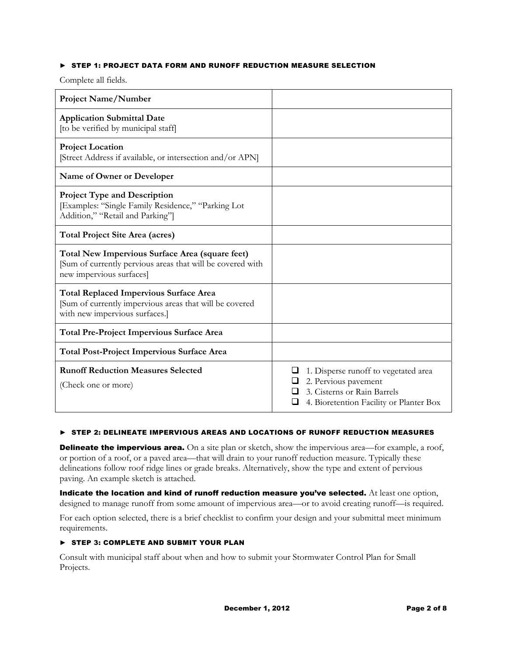#### ► STEP 1: PROJECT DATA FORM AND RUNOFF REDUCTION MEASURE SELECTION

Complete all fields.

| <b>Project Name/Number</b>                                                                                                                 |                                                                                                                                        |
|--------------------------------------------------------------------------------------------------------------------------------------------|----------------------------------------------------------------------------------------------------------------------------------------|
| <b>Application Submittal Date</b><br>[to be verified by municipal staff]                                                                   |                                                                                                                                        |
| <b>Project Location</b><br>[Street Address if available, or intersection and/or APN]                                                       |                                                                                                                                        |
| Name of Owner or Developer                                                                                                                 |                                                                                                                                        |
| <b>Project Type and Description</b><br>[Examples: "Single Family Residence," "Parking Lot<br>Addition," "Retail and Parking"]              |                                                                                                                                        |
| <b>Total Project Site Area (acres)</b>                                                                                                     |                                                                                                                                        |
| Total New Impervious Surface Area (square feet)<br>[Sum of currently pervious areas that will be covered with<br>new impervious surfaces]  |                                                                                                                                        |
| <b>Total Replaced Impervious Surface Area</b><br>[Sum of currently impervious areas that will be covered<br>with new impervious surfaces.] |                                                                                                                                        |
| <b>Total Pre-Project Impervious Surface Area</b>                                                                                           |                                                                                                                                        |
| <b>Total Post-Project Impervious Surface Area</b>                                                                                          |                                                                                                                                        |
| <b>Runoff Reduction Measures Selected</b><br>(Check one or more)                                                                           | 1. Disperse runoff to vegetated area<br>2. Pervious pavement<br>3. Cisterns or Rain Barrels<br>4. Bioretention Facility or Planter Box |

#### ► STEP 2: DELINEATE IMPERVIOUS AREAS AND LOCATIONS OF RUNOFF REDUCTION MEASURES

**Delineate the impervious area.** On a site plan or sketch, show the impervious area—for example, a roof, or portion of a roof, or a paved area—that will drain to your runoff reduction measure. Typically these delineations follow roof ridge lines or grade breaks. Alternatively, show the type and extent of pervious paving. An example sketch is attached.

Indicate the location and kind of runoff reduction measure you've selected. At least one option, designed to manage runoff from some amount of impervious area—or to avoid creating runoff—is required.

For each option selected, there is a brief checklist to confirm your design and your submittal meet minimum requirements.

#### ► STEP 3: COMPLETE AND SUBMIT YOUR PLAN

Consult with municipal staff about when and how to submit your Stormwater Control Plan for Small Projects.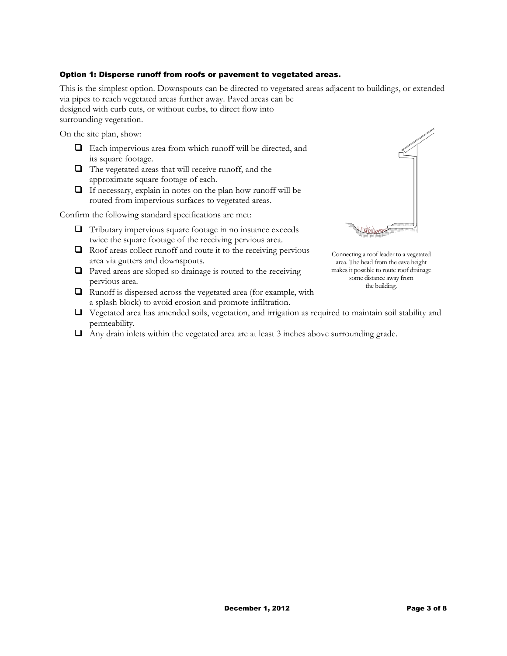#### Option 1: Disperse runoff from roofs or pavement to vegetated areas.

This is the simplest option. Downspouts can be directed to vegetated areas adjacent to buildings, or extended via pipes to reach vegetated areas further away. Paved areas can be designed with curb cuts, or without curbs, to direct flow into surrounding vegetation.

On the site plan, show:

- Each impervious area from which runoff will be directed, and its square footage.
- $\Box$  The vegetated areas that will receive runoff, and the approximate square footage of each.
- $\Box$  If necessary, explain in notes on the plan how runoff will be routed from impervious surfaces to vegetated areas.

Confirm the following standard specifications are met:

- $\Box$  Tributary impervious square footage in no instance exceeds twice the square footage of the receiving pervious area.
- $\Box$  Roof areas collect runoff and route it to the receiving pervious area via gutters and downspouts.
- $\Box$  Paved areas are sloped so drainage is routed to the receiving pervious area.
- $\Box$  Runoff is dispersed across the vegetated area (for example, with a splash block) to avoid erosion and promote infiltration.



Connecting a roof leader to a vegetated area. The head from the eave height makes it possible to route roof drainage some distance away from the building.

- $\Box$  Vegetated area has amended soils, vegetation, and irrigation as required to maintain soil stability and permeability.
- $\Box$  Any drain inlets within the vegetated area are at least 3 inches above surrounding grade.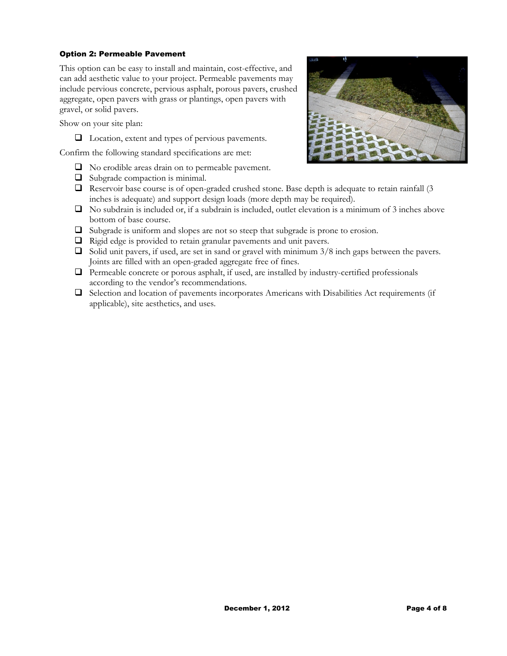#### Option 2: Permeable Pavement

This option can be easy to install and maintain, cost-effective, and can add aesthetic value to your project. Permeable pavements may include pervious concrete, pervious asphalt, porous pavers, crushed aggregate, open pavers with grass or plantings, open pavers with gravel, or solid pavers.

Show on your site plan:

□ Location, extent and types of pervious pavements.

Confirm the following standard specifications are met:

- $\Box$  No erodible areas drain on to permeable pavement.
- $\Box$  Subgrade compaction is minimal.
- $\Box$  Reservoir base course is of open-graded crushed stone. Base depth is adequate to retain rainfall (3) inches is adequate) and support design loads (more depth may be required).
- $\Box$  No subdrain is included or, if a subdrain is included, outlet elevation is a minimum of 3 inches above bottom of base course.
- Subgrade is uniform and slopes are not so steep that subgrade is prone to erosion.
- Rigid edge is provided to retain granular pavements and unit pavers.
- $\Box$  Solid unit pavers, if used, are set in sand or gravel with minimum 3/8 inch gaps between the pavers. Joints are filled with an open-graded aggregate free of fines.
- $\Box$  Permeable concrete or porous asphalt, if used, are installed by industry-certified professionals according to the vendor's recommendations.
- Selection and location of pavements incorporates Americans with Disabilities Act requirements (if applicable), site aesthetics, and uses.

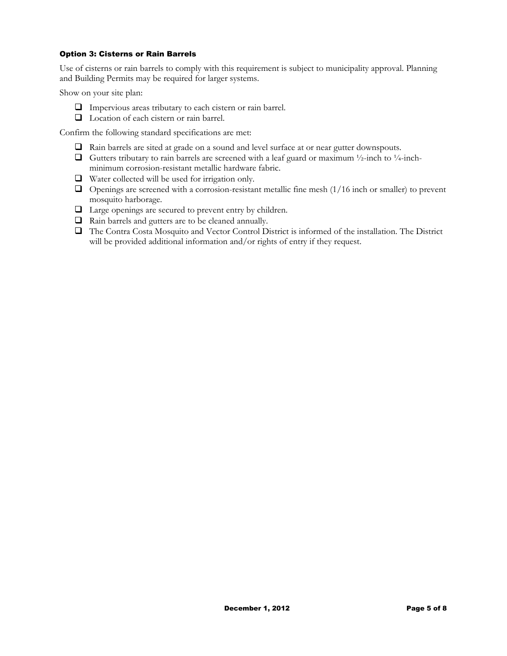#### Option 3: Cisterns or Rain Barrels

Use of cisterns or rain barrels to comply with this requirement is subject to municipality approval. Planning and Building Permits may be required for larger systems.

Show on your site plan:

- Impervious areas tributary to each cistern or rain barrel.
- □ Location of each cistern or rain barrel.

Confirm the following standard specifications are met:

- Rain barrels are sited at grade on a sound and level surface at or near gutter downspouts.
- Gutters tributary to rain barrels are screened with a leaf guard or maximum  $\frac{1}{2}$ -inch to  $\frac{1}{4}$ -inchminimum corrosion-resistant metallic hardware fabric.
- $\Box$  Water collected will be used for irrigation only.
- $\Box$  Openings are screened with a corrosion-resistant metallic fine mesh (1/16 inch or smaller) to prevent mosquito harborage.
- Large openings are secured to prevent entry by children.
- Rain barrels and gutters are to be cleaned annually.
- The Contra Costa Mosquito and Vector Control District is informed of the installation. The District will be provided additional information and/or rights of entry if they request.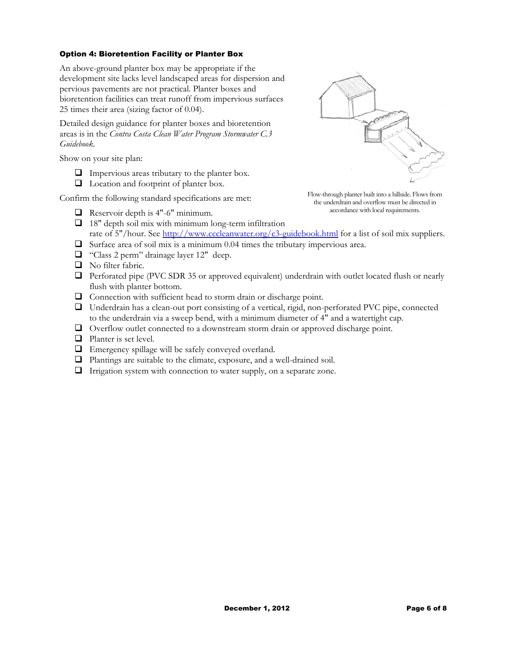#### Option 4: Bioretention Facility or Planter Box

An above-ground planter box may be appropriate if the development site lacks level landscaped areas for dispersion and pervious pavements are not practical. Planter boxes and bioretention facilities can treat runoff from impervious surfaces 25 times their area (sizing factor of 0.04).

Detailed design guidance for planter boxes and bioretention areas is in the *Contra Costa Clean Water Program Stormwater C.3 Guidebook.* 

Show on your site plan:

- $\Box$  Impervious areas tributary to the planter box.
- $\Box$  Location and footprint of planter box.

Confirm the following standard specifications are met:

 $\Box$  Reservoir depth is 4"-6" minimum.



Flow-through planter built into a hillside. Flows from the underdrain and overflow must be directed in accordance with local requirements.

- $\Box$  18" depth soil mix with minimum long-term infiltration rate of 5"/hour. See http://www.cccleanwater.org/c3-guidebook.html for a list of soil mix suppliers.  $\Box$  Surface area of soil mix is a minimum 0.04 times the tributary impervious area.
- 
- "Class 2 perm" drainage layer 12" deep.
- No filter fabric.
- **D** Perforated pipe (PVC SDR 35 or approved equivalent) underdrain with outlet located flush or nearly flush with planter bottom.
- Connection with sufficient head to storm drain or discharge point.
- Underdrain has a clean-out port consisting of a vertical, rigid, non-perforated PVC pipe, connected to the underdrain via a sweep bend, with a minimum diameter of 4" and a watertight cap.
- Overflow outlet connected to a downstream storm drain or approved discharge point.
- **Q** Planter is set level.
- $\Box$  Emergency spillage will be safely conveyed overland.
- Plantings are suitable to the climate, exposure, and a well-drained soil.
- $\Box$  Irrigation system with connection to water supply, on a separate zone.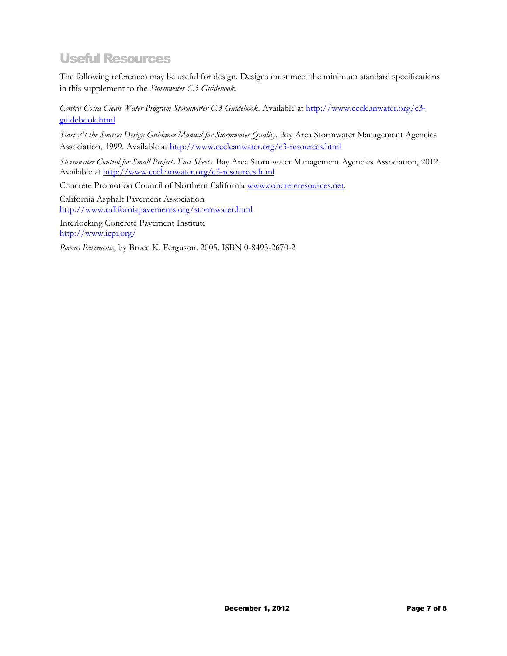## Useful Resources

The following references may be useful for design. Designs must meet the minimum standard specifications in this supplement to the *Stormwater C.3 Guidebook*.

*Contra Costa Clean Water Program Stormwater C.3 Guidebook.* Available at http://www.cccleanwater.org/c3 guidebook.html

*Start At the Source: Design Guidance Manual for Stormwater Quality.* Bay Area Stormwater Management Agencies Association, 1999. Available at http://www.cccleanwater.org/c3-resources.html

*Stormwater Control for Small Projects Fact Sheets.* Bay Area Stormwater Management Agencies Association, 2012. Available at http://www.cccleanwater.org/c3-resources.html

Concrete Promotion Council of Northern California www.concreteresources.net.

California Asphalt Pavement Association http://www.californiapavements.org/stormwater.html

Interlocking Concrete Pavement Institute http://www.icpi.org/

*Porous Pavements*, by Bruce K. Ferguson. 2005. ISBN 0-8493-2670-2